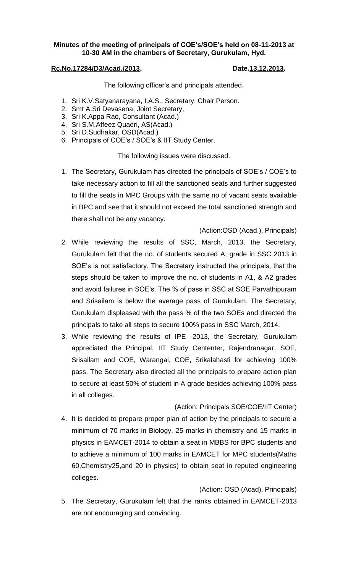## **Minutes of the meeting of principals of COE's/SOE's held on 08-11-2013 at 10-30 AM in the chambers of Secretary, Gurukulam, Hyd.**

## **Rc.No.17284/D3/Acad./2013, Date.13.12.2013.**

The following officer's and principals attended.

- 1. Sri K.V.Satyanarayana, I.A.S., Secretary, Chair Person.
- 2. Smt A.Sri Devasena, Joint Secretary,
- 3. Sri K.Appa Rao, Consultant (Acad.)
- 4. Sri S.M.Affeez Quadri, AS(Acad.)
- 5. Sri D.Sudhakar, OSD(Acad.)
- 6. Principals of COE's / SOE's & IIT Study Center.

The following issues were discussed.

1. The Secretary, Gurukulam has directed the principals of SOE's / COE's to take necessary action to fill all the sanctioned seats and further suggested to fill the seats in MPC Groups with the same no of vacant seats available in BPC and see that it should not exceed the total sanctioned strength and there shall not be any vacancy.

(Action:OSD (Acad.), Principals)

- 2. While reviewing the results of SSC, March, 2013, the Secretary, Gurukulam felt that the no. of students secured A, grade in SSC 2013 in SOE's is not satisfactory. The Secretary instructed the principals, that the steps should be taken to improve the no. of students in A1, & A2 grades and avoid failures in SOE's. The % of pass in SSC at SOE Parvathipuram and Srisailam is below the average pass of Gurukulam. The Secretary, Gurukulam displeased with the pass % of the two SOEs and directed the principals to take all steps to secure 100% pass in SSC March, 2014.
- 3. While reviewing the results of IPE -2013, the Secretary, Gurukulam appreciated the Principal, IIT Study Cententer, Rajendranagar, SOE, Srisailam and COE, Warangal, COE, Srikalahasti for achieving 100% pass. The Secretary also directed all the principals to prepare action plan to secure at least 50% of student in A grade besides achieving 100% pass in all colleges.

## (Action: Principals SOE/COE/IIT Center)

4. It is decided to prepare proper plan of action by the principals to secure a minimum of 70 marks in Biology, 25 marks in chemistry and 15 marks in physics in EAMCET-2014 to obtain a seat in MBBS for BPC students and to achieve a minimum of 100 marks in EAMCET for MPC students(Maths 60,Chemistry25,and 20 in physics) to obtain seat in reputed engineering colleges.

(Action: OSD (Acad), Principals)

5. The Secretary, Gurukulam felt that the ranks obtained in EAMCET-2013 are not encouraging and convincing.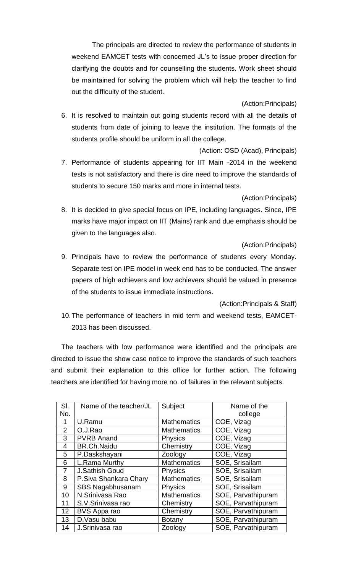The principals are directed to review the performance of students in weekend EAMCET tests with concerned JL's to issue proper direction for clarifying the doubts and for counselling the students. Work sheet should be maintained for solving the problem which will help the teacher to find out the difficulty of the student.

(Action:Principals)

6. It is resolved to maintain out going students record with all the details of students from date of joining to leave the institution. The formats of the students profile should be uniform in all the college.

(Action: OSD (Acad), Principals)

7. Performance of students appearing for IIT Main -2014 in the weekend tests is not satisfactory and there is dire need to improve the standards of students to secure 150 marks and more in internal tests.

(Action:Principals)

8. It is decided to give special focus on IPE, including languages. Since, IPE marks have major impact on IIT (Mains) rank and due emphasis should be given to the languages also.

(Action:Principals)

9. Principals have to review the performance of students every Monday. Separate test on IPE model in week end has to be conducted. The answer papers of high achievers and low achievers should be valued in presence of the students to issue immediate instructions.

(Action:Principals & Staff)

10.The performance of teachers in mid term and weekend tests, EAMCET-2013 has been discussed.

The teachers with low performance were identified and the principals are directed to issue the show case notice to improve the standards of such teachers and submit their explanation to this office for further action. The following teachers are identified for having more no. of failures in the relevant subjects.

| SI.            | Name of the teacher/JL  | Subject            | Name of the        |
|----------------|-------------------------|--------------------|--------------------|
| No.            |                         |                    | college            |
| 1              | U.Ramu                  | <b>Mathematics</b> | COE, Vizag         |
| $\overline{2}$ | O.J.Rao                 | <b>Mathematics</b> | COE, Vizag         |
| 3              | <b>PVRB Anand</b>       | <b>Physics</b>     | COE, Vizag         |
| 4              | <b>BR.Ch.Naidu</b>      | Chemistry          | COE, Vizag         |
| 5              | P.Daskshayani           | Zoology            | COE, Vizag         |
| 6              | L.Rama Murthy           | <b>Mathematics</b> | SOE, Srisailam     |
| 7              | <b>J.Sathish Goud</b>   | <b>Physics</b>     | SOE, Srisailam     |
| 8              | P.Siva Shankara Chary   | <b>Mathematics</b> | SOE, Srisailam     |
| 9              | <b>SBS Nagabhusanam</b> | <b>Physics</b>     | SOE, Srisailam     |
| 10             | N.Srinivasa Rao         | <b>Mathematics</b> | SOE, Parvathipuram |
| 11             | S.V.Srinivasa rao       | Chemistry          | SOE, Parvathipuram |
| 12             | BVS Appa rao            | Chemistry          | SOE, Parvathipuram |
| 13             | D.Vasu babu             | <b>Botany</b>      | SOE, Parvathipuram |
| 14             | J.Srinivasa rao         | Zoology            | SOE, Parvathipuram |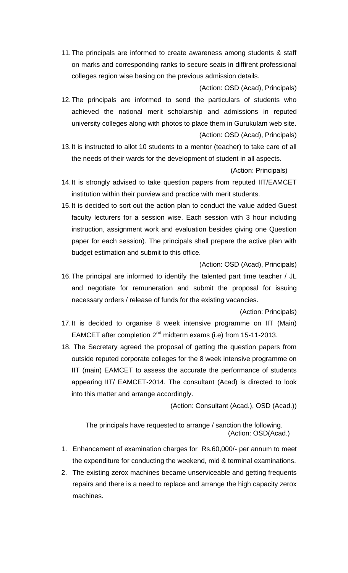11.The principals are informed to create awareness among students & staff on marks and corresponding ranks to secure seats in diffirent professional colleges region wise basing on the previous admission details.

(Action: OSD (Acad), Principals) 12.The principals are informed to send the particulars of students who achieved the national merit scholarship and admissions in reputed university colleges along with photos to place them in Gurukulam web site. (Action: OSD (Acad), Principals)

13.It is instructed to allot 10 students to a mentor (teacher) to take care of all the needs of their wards for the development of student in all aspects.

(Action: Principals)

- 14.It is strongly advised to take question papers from reputed IIT/EAMCET institution within their purview and practice with merit students.
- 15.It is decided to sort out the action plan to conduct the value added Guest faculty lecturers for a session wise. Each session with 3 hour including instruction, assignment work and evaluation besides giving one Question paper for each session). The principals shall prepare the active plan with budget estimation and submit to this office.

(Action: OSD (Acad), Principals)

16.The principal are informed to identify the talented part time teacher / JL and negotiate for remuneration and submit the proposal for issuing necessary orders / release of funds for the existing vacancies.

(Action: Principals)

- 17.It is decided to organise 8 week intensive programme on IIT (Main) EAMCET after completion  $2^{nd}$  midterm exams (i.e) from 15-11-2013.
- 18. The Secretary agreed the proposal of getting the question papers from outside reputed corporate colleges for the 8 week intensive programme on IIT (main) EAMCET to assess the accurate the performance of students appearing IIT/ EAMCET-2014. The consultant (Acad) is directed to look into this matter and arrange accordingly.

(Action: Consultant (Acad.), OSD (Acad.))

The principals have requested to arrange / sanction the following. (Action: OSD(Acad.)

- 1. Enhancement of examination charges for Rs.60,000/- per annum to meet the expenditure for conducting the weekend, mid & terminal examinations.
- 2. The existing zerox machines became unserviceable and getting frequents repairs and there is a need to replace and arrange the high capacity zerox machines.